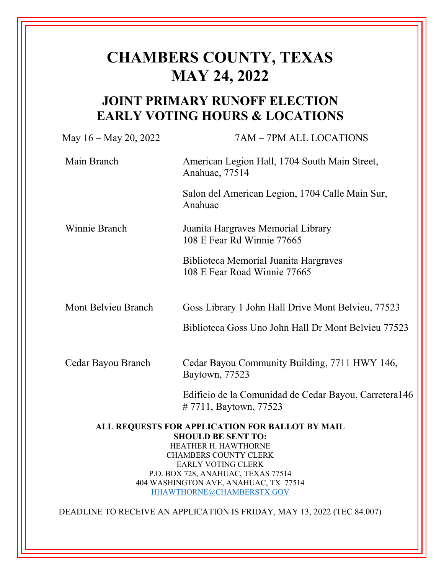# **CHAMBERS COUNTY, TEXAS MAY 24, 2022**

# **JOINT PRIMARY RUNOFF ELECTION EARLY VOTING HOURS & LOCATIONS**

| May $16 -$ May 20, 2022                                                      | 7AM - 7PM ALL LOCATIONS                                                         |
|------------------------------------------------------------------------------|---------------------------------------------------------------------------------|
| Main Branch                                                                  | American Legion Hall, 1704 South Main Street,<br>Anahuac, 77514                 |
|                                                                              | Salon del American Legion, 1704 Calle Main Sur,<br>Anahuac                      |
| Winnie Branch                                                                | Juanita Hargraves Memorial Library<br>108 E Fear Rd Winnie 77665                |
|                                                                              | Biblioteca Memorial Juanita Hargraves<br>108 E Fear Road Winnie 77665           |
| Mont Belvieu Branch                                                          | Goss Library 1 John Hall Drive Mont Belvieu, 77523                              |
|                                                                              | Biblioteca Goss Uno John Hall Dr Mont Belvieu 77523                             |
| Cedar Bayou Branch                                                           | Cedar Bayou Community Building, 7711 HWY 146,<br>Baytown, 77523                 |
|                                                                              | Edificio de la Comunidad de Cedar Bayou, Carretera 146<br>#7711, Baytown, 77523 |
| ALL REQUESTS FOR APPLICATION FOR BALLOT BY MAIL<br><b>SHOULD BE SENT TO:</b> |                                                                                 |
| HEATHER H. HAWTHORNE                                                         |                                                                                 |
| <b>CHAMBERS COUNTY CLERK</b><br><b>EARLY VOTING CLERK</b>                    |                                                                                 |
| P.O. BOX 728, ANAHUAC, TEXAS 77514                                           |                                                                                 |
| 404 WASHINGTON AVE, ANAHUAC, TX 77514                                        |                                                                                 |
| HHAWTHORNE@CHAMBERSTX.GOV                                                    |                                                                                 |

DEADLINE TO RECEIVE AN APPLICATION IS FRIDAY, MAY 13, 2022 (TEC 84.007)